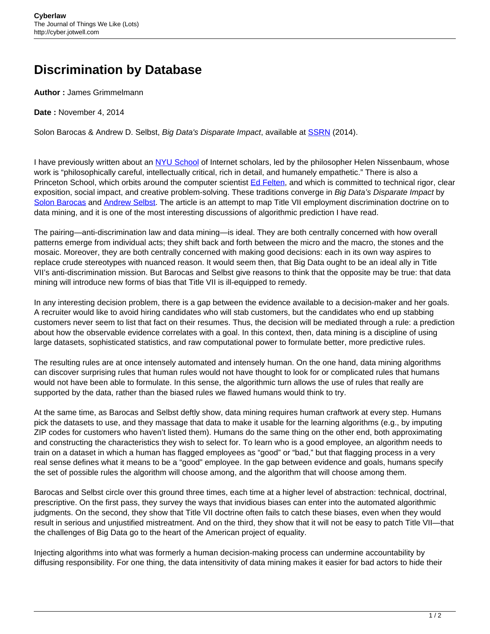## **Discrimination by Database**

**Author :** James Grimmelmann

**Date :** November 4, 2014

Solon Barocas & Andrew D. Selbst, Big Data's Disparate Impact, available at [SSRN](http://papers.ssrn.com/sol3/papers.cfm?abstract_id=2477899) (2014).

I have previously written about an [NYU School](http://cyber.jotwell.com/good-faith-scholarship/) of Internet scholars, led by the philosopher Helen Nissenbaum, whose work is "philosophically careful, intellectually critical, rich in detail, and humanely empathetic." There is also a Princeton School, which orbits around the computer scientist [Ed Felten,](https://www.cs.princeton.edu/~felten/) and which is committed to technical rigor, clear exposition, social impact, and creative problem-solving. These traditions converge in Big Data's Disparate Impact by [Solon Barocas](http://solon.barocas.org/) and [Andrew Selbst](http://www.citizen.org/Page.aspx?pid=5708). The article is an attempt to map Title VII employment discrimination doctrine on to data mining, and it is one of the most interesting discussions of algorithmic prediction I have read.

The pairing—anti-discrimination law and data mining—is ideal. They are both centrally concerned with how overall patterns emerge from individual acts; they shift back and forth between the micro and the macro, the stones and the mosaic. Moreover, they are both centrally concerned with making good decisions: each in its own way aspires to replace crude stereotypes with nuanced reason. It would seem then, that Big Data ought to be an ideal ally in Title VII's anti-discrimination mission. But Barocas and Selbst give reasons to think that the opposite may be true: that data mining will introduce new forms of bias that Title VII is ill-equipped to remedy.

In any interesting decision problem, there is a gap between the evidence available to a decision-maker and her goals. A recruiter would like to avoid hiring candidates who will stab customers, but the candidates who end up stabbing customers never seem to list that fact on their resumes. Thus, the decision will be mediated through a rule: a prediction about how the observable evidence correlates with a goal. In this context, then, data mining is a discipline of using large datasets, sophisticated statistics, and raw computational power to formulate better, more predictive rules.

The resulting rules are at once intensely automated and intensely human. On the one hand, data mining algorithms can discover surprising rules that human rules would not have thought to look for or complicated rules that humans would not have been able to formulate. In this sense, the algorithmic turn allows the use of rules that really are supported by the data, rather than the biased rules we flawed humans would think to try.

At the same time, as Barocas and Selbst deftly show, data mining requires human craftwork at every step. Humans pick the datasets to use, and they massage that data to make it usable for the learning algorithms (e.g., by imputing ZIP codes for customers who haven't listed them). Humans do the same thing on the other end, both approximating and constructing the characteristics they wish to select for. To learn who is a good employee, an algorithm needs to train on a dataset in which a human has flagged employees as "good" or "bad," but that flagging process in a very real sense defines what it means to be a "good" employee. In the gap between evidence and goals, humans specify the set of possible rules the algorithm will choose among, and the algorithm that will choose among them.

Barocas and Selbst circle over this ground three times, each time at a higher level of abstraction: technical, doctrinal, prescriptive. On the first pass, they survey the ways that invidious biases can enter into the automated algorithmic judgments. On the second, they show that Title VII doctrine often fails to catch these biases, even when they would result in serious and unjustified mistreatment. And on the third, they show that it will not be easy to patch Title VII—that the challenges of Big Data go to the heart of the American project of equality.

Injecting algorithms into what was formerly a human decision-making process can undermine accountability by diffusing responsibility. For one thing, the data intensitivity of data mining makes it easier for bad actors to hide their